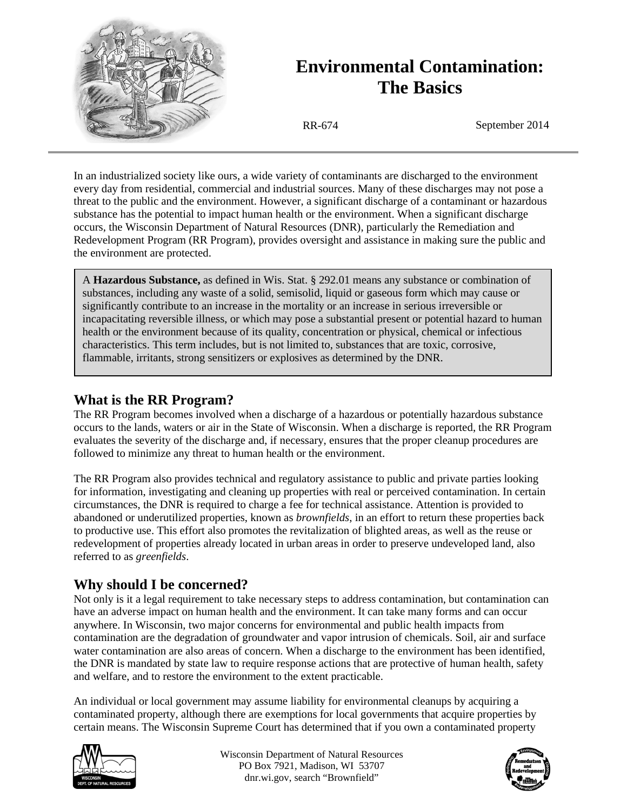

# **Environmental Contamination: The Basics**

RR-674 September 2014

In an industrialized society like ours, a wide variety of contaminants are discharged to the environment every day from residential, commercial and industrial sources. Many of these discharges may not pose a threat to the public and the environment. However, a significant discharge of a contaminant or hazardous substance has the potential to impact human health or the environment. When a significant discharge occurs, the Wisconsin Department of Natural Resources (DNR), particularly the Remediation and Redevelopment Program (RR Program), provides oversight and assistance in making sure the public and the environment are protected.

A **Hazardous Substance,** as defined in Wis. Stat. § 292.01 means any substance or combination of substances, including any waste of a solid, semisolid, liquid or gaseous form which may cause or significantly contribute to an increase in the mortality or an increase in serious irreversible or incapacitating reversible illness, or which may pose a substantial present or potential hazard to human health or the environment because of its quality, concentration or physical, chemical or infectious characteristics. This term includes, but is not limited to, substances that are toxic, corrosive, flammable, irritants, strong sensitizers or explosives as determined by the DNR.

# **What is the RR Program?**

The RR Program becomes involved when a discharge of a hazardous or potentially hazardous substance occurs to the lands, waters or air in the State of Wisconsin. When a discharge is reported, the RR Program evaluates the severity of the discharge and, if necessary, ensures that the proper cleanup procedures are followed to minimize any threat to human health or the environment.

The RR Program also provides technical and regulatory assistance to public and private parties looking for information, investigating and cleaning up properties with real or perceived contamination. In certain circumstances, the DNR is required to charge a fee for technical assistance. Attention is provided to abandoned or underutilized properties, known as *brownfields*, in an effort to return these properties back to productive use. This effort also promotes the revitalization of blighted areas, as well as the reuse or redevelopment of properties already located in urban areas in order to preserve undeveloped land, also referred to as *greenfields*.

# **Why should I be concerned?**

Not only is it a legal requirement to take necessary steps to address contamination, but contamination can have an adverse impact on human health and the environment. It can take many forms and can occur anywhere. In Wisconsin, two major concerns for environmental and public health impacts from contamination are the degradation of groundwater and vapor intrusion of chemicals. Soil, air and surface water contamination are also areas of concern. When a discharge to the environment has been identified, the DNR is mandated by state law to require response actions that are protective of human health, safety and welfare, and to restore the environment to the extent practicable.

An individual or local government may assume liability for environmental cleanups by acquiring a contaminated property, although there are exemptions for local governments that acquire properties by certain means. The Wisconsin Supreme Court has determined that if you own a contaminated property



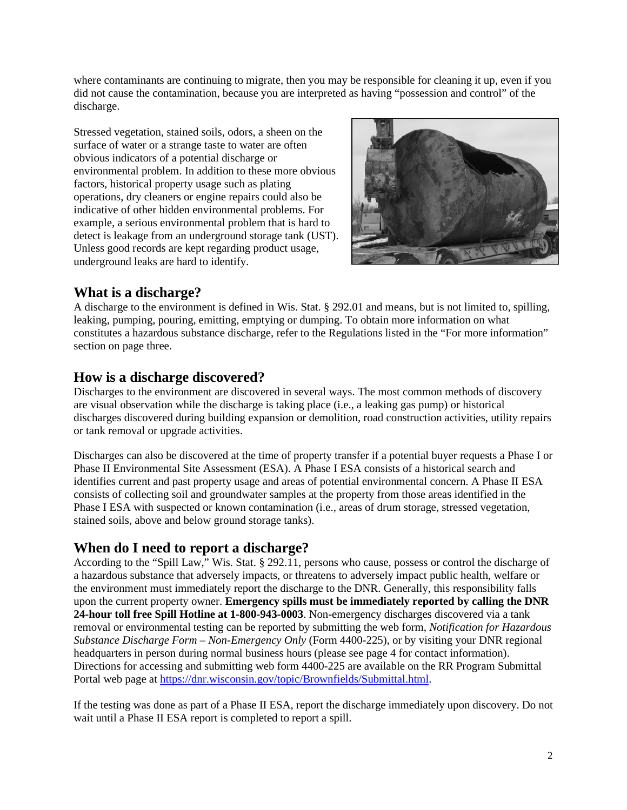where contaminants are continuing to migrate, then you may be responsible for cleaning it up, even if you did not cause the contamination, because you are interpreted as having "possession and control" of the discharge.

Stressed vegetation, stained soils, odors, a sheen on the surface of water or a strange taste to water are often obvious indicators of a potential discharge or environmental problem. In addition to these more obvious factors, historical property usage such as plating operations, dry cleaners or engine repairs could also be indicative of other hidden environmental problems. For example, a serious environmental problem that is hard to detect is leakage from an underground storage tank (UST). Unless good records are kept regarding product usage, underground leaks are hard to identify.



# **What is a discharge?**

A discharge to the environment is defined in Wis. Stat. § 292.01 and means, but is not limited to, spilling, leaking, pumping, pouring, emitting, emptying or dumping. To obtain more information on what constitutes a hazardous substance discharge, refer to the Regulations listed in the "For more information" section on page three.

# **How is a discharge discovered?**

Discharges to the environment are discovered in several ways. The most common methods of discovery are visual observation while the discharge is taking place (i.e., a leaking gas pump) or historical discharges discovered during building expansion or demolition, road construction activities, utility repairs or tank removal or upgrade activities.

Discharges can also be discovered at the time of property transfer if a potential buyer requests a Phase I or Phase II Environmental Site Assessment (ESA). A Phase I ESA consists of a historical search and identifies current and past property usage and areas of potential environmental concern. A Phase II ESA consists of collecting soil and groundwater samples at the property from those areas identified in the Phase I ESA with suspected or known contamination (i.e., areas of drum storage, stressed vegetation, stained soils, above and below ground storage tanks).

# **When do I need to report a discharge?**

According to the "Spill Law," Wis. Stat. § 292.11, persons who cause, possess or control the discharge of a hazardous substance that adversely impacts, or threatens to adversely impact public health, welfare or the environment must immediately report the discharge to the DNR. Generally, this responsibility falls upon the current property owner. **Emergency spills must be immediately reported by calling the DNR 24-hour toll free Spill Hotline at 1-800-943-0003**. Non-emergency discharges discovered via a tank removal or environmental testing can be reported by submitting the web form, *Notification for Hazardous Substance Discharge Form – Non-Emergency Only* (Form 4400-225), or by visiting your DNR regional headquarters in person during normal business hours (please see page 4 for contact information). Directions for accessing and submitting web form 4400-225 are available on the RR Program Submittal Portal web page at [https://dnr.wisconsin.gov/topic/Brownfields/Submittal.html.](https://dnr.wisconsin.gov/topic/Brownfields/Submittal.html)

If the testing was done as part of a Phase II ESA, report the discharge immediately upon discovery. Do not wait until a Phase II ESA report is completed to report a spill.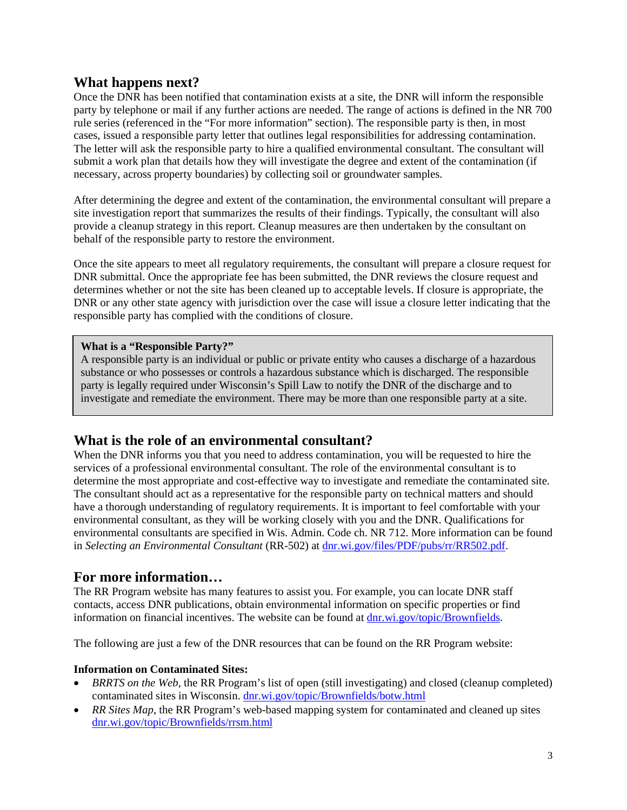### **What happens next?**

Once the DNR has been notified that contamination exists at a site, the DNR will inform the responsible party by telephone or mail if any further actions are needed. The range of actions is defined in the NR 700 rule series (referenced in the "For more information" section). The responsible party is then, in most cases, issued a responsible party letter that outlines legal responsibilities for addressing contamination. The letter will ask the responsible party to hire a qualified environmental consultant. The consultant will submit a work plan that details how they will investigate the degree and extent of the contamination (if necessary, across property boundaries) by collecting soil or groundwater samples.

After determining the degree and extent of the contamination, the environmental consultant will prepare a site investigation report that summarizes the results of their findings. Typically, the consultant will also provide a cleanup strategy in this report. Cleanup measures are then undertaken by the consultant on behalf of the responsible party to restore the environment.

Once the site appears to meet all regulatory requirements, the consultant will prepare a closure request for DNR submittal. Once the appropriate fee has been submitted, the DNR reviews the closure request and determines whether or not the site has been cleaned up to acceptable levels. If closure is appropriate, the DNR or any other state agency with jurisdiction over the case will issue a closure letter indicating that the responsible party has complied with the conditions of closure.

#### **What is a "Responsible Party?"**

A responsible party is an individual or public or private entity who causes a discharge of a hazardous substance or who possesses or controls a hazardous substance which is discharged. The responsible party is legally required under Wisconsin's Spill Law to notify the DNR of the discharge and to investigate and remediate the environment. There may be more than one responsible party at a site.

## **What is the role of an environmental consultant?**

When the DNR informs you that you need to address contamination, you will be requested to hire the services of a professional environmental consultant. The role of the environmental consultant is to determine the most appropriate and cost-effective way to investigate and remediate the contaminated site. The consultant should act as a representative for the responsible party on technical matters and should have a thorough understanding of regulatory requirements. It is important to feel comfortable with your environmental consultant, as they will be working closely with you and the DNR. Qualifications for environmental consultants are specified in Wis. Admin. Code ch. NR 712. More information can be found in *Selecting an Environmental Consultant* (RR-502) at [dnr.wi.gov/files/PDF/pubs/rr/RR502.pdf.](http://dnr.wi.gov/files/PDF/pubs/rr/RR502.pdf)

### **For more information…**

The RR Program website has many features to assist you. For example, you can locate DNR staff contacts, access DNR publications, obtain environmental information on specific properties or find information on financial incentives. The website can be found at [dnr.wi.gov/topic/Brownfields.](http://dnr.wi.gov/topic/Brownfields.html)

The following are just a few of the DNR resources that can be found on the RR Program website:

#### **Information on Contaminated Sites:**

- *BRRTS on the Web*, the RR Program's list of open (still investigating) and closed (cleanup completed) contaminated sites in Wisconsin. [dnr.wi.gov/topic/Brownfields/botw.html](http://dnr.wi.gov/topic/Brownfields/botw.html)
- *RR Sites Map*, the RR Program's web-based mapping system for contaminated and cleaned up sites [dnr.wi.gov/topic/Brownfields/rrsm.html](http://dnr.wi.gov/topic/Brownfields/rrsm.html)